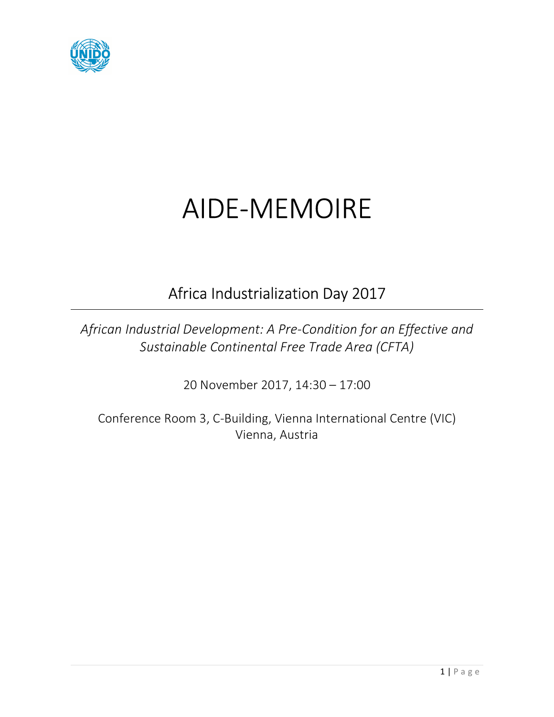

# AIDE-MEMOIRE

## Africa Industrialization Day 2017

*African Industrial Development: A Pre-Condition for an Effective and Sustainable Continental Free Trade Area (CFTA)* 

20 November 2017, 14:30 – 17:00

Conference Room 3, C-Building, Vienna International Centre (VIC) Vienna, Austria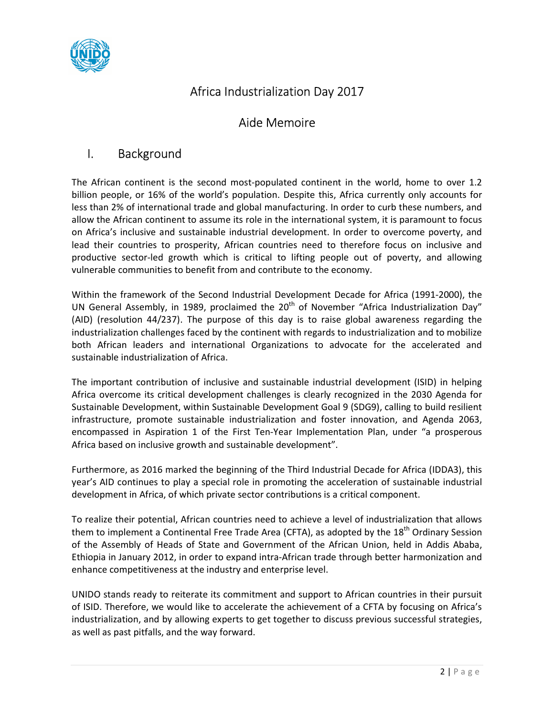

#### Africa Industrialization Day 2017

#### Aide Memoire

#### I. Background

The African continent is the second most-populated continent in the world, home to over 1.2 billion people, or 16% of the world's population. Despite this, Africa currently only accounts for less than 2% of international trade and global manufacturing. In order to curb these numbers, and allow the African continent to assume its role in the international system, it is paramount to focus on Africa's inclusive and sustainable industrial development. In order to overcome poverty, and lead their countries to prosperity, African countries need to therefore focus on inclusive and productive sector-led growth which is critical to lifting people out of poverty, and allowing vulnerable communities to benefit from and contribute to the economy.

Within the framework of the Second Industrial Development Decade for Africa (1991-2000), the UN General Assembly, in 1989, proclaimed the  $20<sup>th</sup>$  of November "Africa Industrialization Day" (AID) (resolution 44/237). The purpose of this day is to raise global awareness regarding the industrialization challenges faced by the continent with regards to industrialization and to mobilize both African leaders and international Organizations to advocate for the accelerated and sustainable industrialization of Africa.

The important contribution of inclusive and sustainable industrial development (ISID) in helping Africa overcome its critical development challenges is clearly recognized in the 2030 Agenda for Sustainable Development, within Sustainable Development Goal 9 (SDG9), calling to build resilient infrastructure, promote sustainable industrialization and foster innovation, and Agenda 2063, encompassed in Aspiration 1 of the First Ten-Year Implementation Plan, under "a prosperous Africa based on inclusive growth and sustainable development".

Furthermore, as 2016 marked the beginning of the Third Industrial Decade for Africa (IDDA3), this year's AID continues to play a special role in promoting the acceleration of sustainable industrial development in Africa, of which private sector contributions is a critical component.

To realize their potential, African countries need to achieve a level of industrialization that allows them to implement a Continental Free Trade Area (CFTA), as adopted by the 18<sup>th</sup> Ordinary Session of the Assembly of Heads of State and Government of the African Union, held in Addis Ababa, Ethiopia in January 2012, in order to expand intra-African trade through better harmonization and enhance competitiveness at the industry and enterprise level.

UNIDO stands ready to reiterate its commitment and support to African countries in their pursuit of ISID. Therefore, we would like to accelerate the achievement of a CFTA by focusing on Africa's industrialization, and by allowing experts to get together to discuss previous successful strategies, as well as past pitfalls, and the way forward.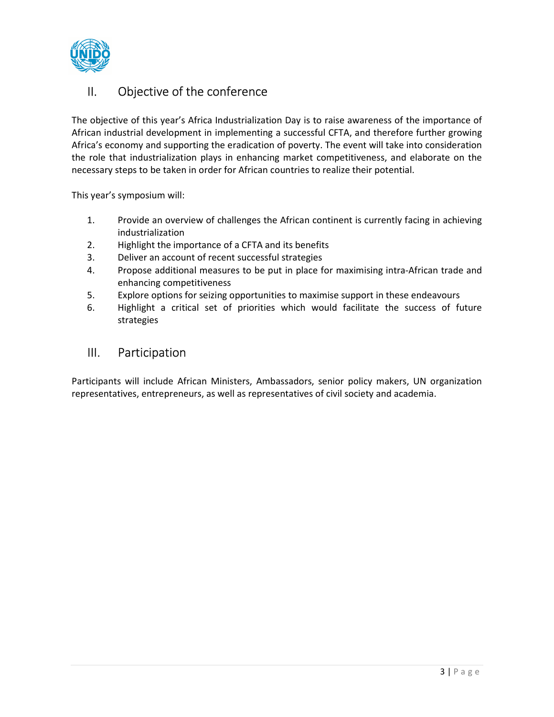

#### II. Objective of the conference

The objective of this year's Africa Industrialization Day is to raise awareness of the importance of African industrial development in implementing a successful CFTA, and therefore further growing Africa's economy and supporting the eradication of poverty. The event will take into consideration the role that industrialization plays in enhancing market competitiveness, and elaborate on the necessary steps to be taken in order for African countries to realize their potential.

This year's symposium will:

- 1. Provide an overview of challenges the African continent is currently facing in achieving industrialization
- 2. Highlight the importance of a CFTA and its benefits
- 3. Deliver an account of recent successful strategies
- 4. Propose additional measures to be put in place for maximising intra-African trade and enhancing competitiveness
- 5. Explore options for seizing opportunities to maximise support in these endeavours
- 6. Highlight a critical set of priorities which would facilitate the success of future strategies

#### III. Participation

Participants will include African Ministers, Ambassadors, senior policy makers, UN organization representatives, entrepreneurs, as well as representatives of civil society and academia.